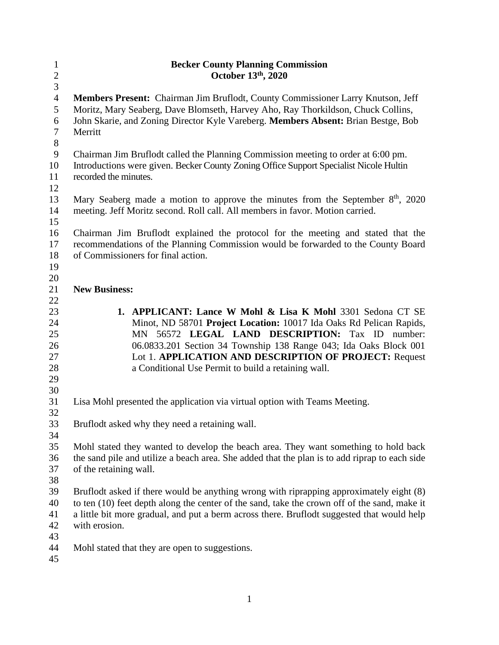| $\mathbf{1}$     | <b>Becker County Planning Commission</b>                                                      |
|------------------|-----------------------------------------------------------------------------------------------|
| $\overline{c}$   | October 13th, 2020                                                                            |
| 3                |                                                                                               |
| $\overline{4}$   | Members Present: Chairman Jim Bruflodt, County Commissioner Larry Knutson, Jeff               |
| 5                | Moritz, Mary Seaberg, Dave Blomseth, Harvey Aho, Ray Thorkildson, Chuck Collins,              |
| $\boldsymbol{6}$ | John Skarie, and Zoning Director Kyle Vareberg. Members Absent: Brian Bestge, Bob             |
| $\tau$           | Merritt                                                                                       |
| $8\,$            |                                                                                               |
| $\mathbf{9}$     | Chairman Jim Bruflodt called the Planning Commission meeting to order at 6:00 pm.             |
| 10               | Introductions were given. Becker County Zoning Office Support Specialist Nicole Hultin        |
| 11               | recorded the minutes.                                                                         |
| 12               |                                                                                               |
| 13               | Mary Seaberg made a motion to approve the minutes from the September 8 <sup>th</sup> , 2020   |
| 14               | meeting. Jeff Moritz second. Roll call. All members in favor. Motion carried.                 |
| 15               |                                                                                               |
| 16               | Chairman Jim Bruflodt explained the protocol for the meeting and stated that the              |
| 17               | recommendations of the Planning Commission would be forwarded to the County Board             |
| 18               | of Commissioners for final action.                                                            |
| 19               |                                                                                               |
| 20               |                                                                                               |
| 21               | <b>New Business:</b>                                                                          |
| 22               |                                                                                               |
| 23               | 1. APPLICANT: Lance W Mohl & Lisa K Mohl 3301 Sedona CT SE                                    |
| 24               | Minot, ND 58701 Project Location: 10017 Ida Oaks Rd Pelican Rapids,                           |
| 25               | MN 56572 LEGAL LAND DESCRIPTION: Tax ID<br>number:                                            |
| 26               | 06.0833.201 Section 34 Township 138 Range 043; Ida Oaks Block 001                             |
| 27               | Lot 1. APPLICATION AND DESCRIPTION OF PROJECT: Request                                        |
| 28               | a Conditional Use Permit to build a retaining wall.                                           |
| 29               |                                                                                               |
| 30               |                                                                                               |
| 31               | Lisa Mohl presented the application via virtual option with Teams Meeting.                    |
| 32               |                                                                                               |
| 33               | Bruflodt asked why they need a retaining wall.                                                |
| 34               |                                                                                               |
| 35               | Mohl stated they wanted to develop the beach area. They want something to hold back           |
| 36               | the sand pile and utilize a beach area. She added that the plan is to add riprap to each side |
| 37               | of the retaining wall.                                                                        |
| 38               |                                                                                               |
| 39               | Bruflodt asked if there would be anything wrong with riprapping approximately eight (8)       |
| 40               | to ten (10) feet depth along the center of the sand, take the crown off of the sand, make it  |
| 41               | a little bit more gradual, and put a berm across there. Bruflodt suggested that would help    |
| 42               | with erosion.                                                                                 |
| 43               |                                                                                               |
| 44               | Mohl stated that they are open to suggestions.                                                |
| 45               |                                                                                               |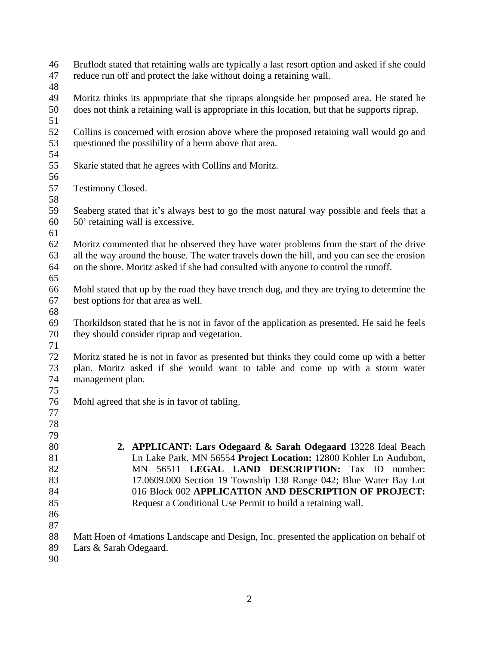- Bruflodt stated that retaining walls are typically a last resort option and asked if she could reduce run off and protect the lake without doing a retaining wall.
- 
- Moritz thinks its appropriate that she ripraps alongside her proposed area. He stated he does not think a retaining wall is appropriate in this location, but that he supports riprap.
- 
- Collins is concerned with erosion above where the proposed retaining wall would go and questioned the possibility of a berm above that area.
- Skarie stated that he agrees with Collins and Moritz.
- 

- Testimony Closed.
- Seaberg stated that it's always best to go the most natural way possible and feels that a 50' retaining wall is excessive.
- 
- Moritz commented that he observed they have water problems from the start of the drive all the way around the house. The water travels down the hill, and you can see the erosion on the shore. Moritz asked if she had consulted with anyone to control the runoff.
- Mohl stated that up by the road they have trench dug, and they are trying to determine the best options for that area as well.
- 
- Thorkildson stated that he is not in favor of the application as presented. He said he feels they should consider riprap and vegetation.
- Moritz stated he is not in favor as presented but thinks they could come up with a better plan. Moritz asked if she would want to table and come up with a storm water management plan.
- 
- Mohl agreed that she is in favor of tabling.
- 
- **2. APPLICANT: Lars Odegaard & Sarah Odegaard** 13228 Ideal Beach Ln Lake Park, MN 56554 **Project Location:** 12800 Kohler Ln Audubon, MN 56511 **LEGAL LAND DESCRIPTION:** Tax ID number: 17.0609.000 Section 19 Township 138 Range 042; Blue Water Bay Lot 016 Block 002 **APPLICATION AND DESCRIPTION OF PROJECT:**  Request a Conditional Use Permit to build a retaining wall.
- 
- Matt Hoen of 4mations Landscape and Design, Inc. presented the application on behalf of
- Lars & Sarah Odegaard.
-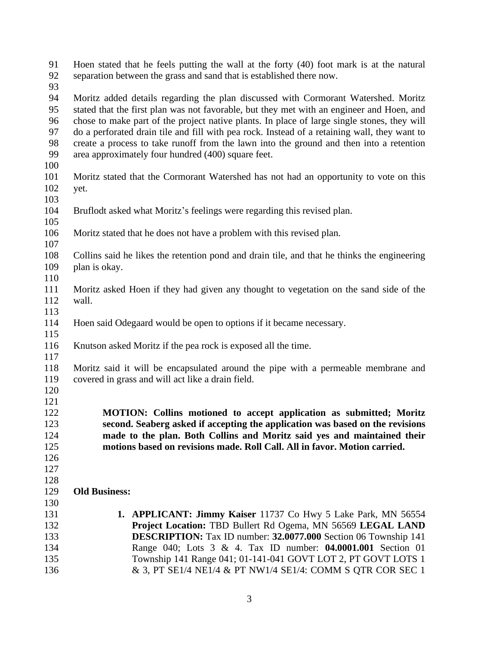Hoen stated that he feels putting the wall at the forty (40) foot mark is at the natural separation between the grass and sand that is established there now.

 Moritz added details regarding the plan discussed with Cormorant Watershed. Moritz stated that the first plan was not favorable, but they met with an engineer and Hoen, and chose to make part of the project native plants. In place of large single stones, they will do a perforated drain tile and fill with pea rock. Instead of a retaining wall, they want to create a process to take runoff from the lawn into the ground and then into a retention area approximately four hundred (400) square feet.

- 
- Moritz stated that the Cormorant Watershed has not had an opportunity to vote on this yet.
- 
- Bruflodt asked what Moritz's feelings were regarding this revised plan.
- Moritz stated that he does not have a problem with this revised plan.
- 

- Collins said he likes the retention pond and drain tile, and that he thinks the engineering plan is okay.
- Moritz asked Hoen if they had given any thought to vegetation on the sand side of the wall.
- 
- Hoen said Odegaard would be open to options if it became necessary.
- Knutson asked Moritz if the pea rock is exposed all the time.
- 

 Moritz said it will be encapsulated around the pipe with a permeable membrane and covered in grass and will act like a drain field.

  $\frac{121}{122}$ 

 **MOTION: Collins motioned to accept application as submitted; Moritz second. Seaberg asked if accepting the application was based on the revisions made to the plan. Both Collins and Moritz said yes and maintained their motions based on revisions made. Roll Call. All in favor. Motion carried.**

- 
- 
- 

- **Old Business:**
- **1. APPLICANT: Jimmy Kaiser** 11737 Co Hwy 5 Lake Park, MN 56554 **Project Location:** TBD Bullert Rd Ogema, MN 56569 **LEGAL LAND DESCRIPTION:** Tax ID number: **32.0077.000** Section 06 Township 141 Range 040; Lots 3 & 4. Tax ID number: **04.0001.001** Section 01 Township 141 Range 041; 01-141-041 GOVT LOT 2, PT GOVT LOTS 1 & 3, PT SE1/4 NE1/4 & PT NW1/4 SE1/4: COMM S QTR COR SEC 1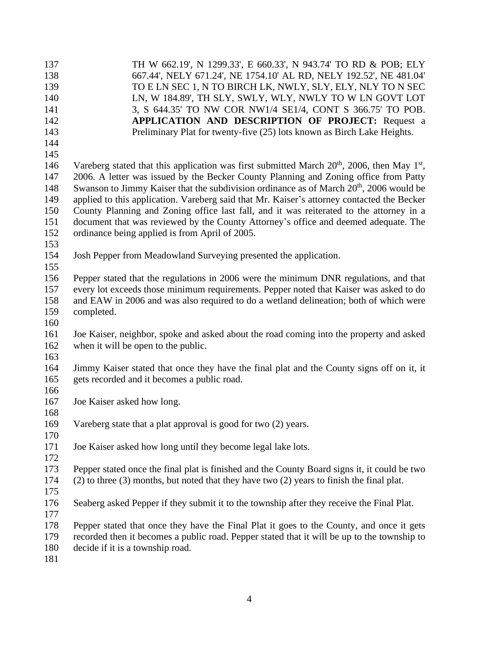| 137   | TH W 662.19', N 1299.33', E 660.33', N 943.74' TO RD & POB; ELY                                           |
|-------|-----------------------------------------------------------------------------------------------------------|
| 138   | 667.44', NELY 671.24', NE 1754.10' AL RD, NELY 192.52', NE 481.04'                                        |
| 139   | TO E LN SEC 1, N TO BIRCH LK, NWLY, SLY, ELY, NLY TO N SEC                                                |
| 140   | LN, W 184.89', TH SLY, SWLY, WLY, NWLY TO W LN GOVT LOT                                                   |
| 141   | 3, S 644.35' TO NW COR NW1/4 SE1/4, CONT S 366.75' TO POB.                                                |
| 142   | <b>APPLICATION AND DESCRIPTION OF PROJECT:</b> Request a                                                  |
| 143   | Preliminary Plat for twenty-five (25) lots known as Birch Lake Heights.                                   |
| 144   |                                                                                                           |
| 145   |                                                                                                           |
| 146   | Vareberg stated that this application was first submitted March $20th$ , 2006, then May 1 <sup>st</sup> , |
| 147   | 2006. A letter was issued by the Becker County Planning and Zoning office from Patty                      |
| 148   | Swanson to Jimmy Kaiser that the subdivision ordinance as of March 20 <sup>th</sup> , 2006 would be       |
| 149   | applied to this application. Vareberg said that Mr. Kaiser's attorney contacted the Becker                |
| 150   | County Planning and Zoning office last fall, and it was reiterated to the attorney in a                   |
| 151   | document that was reviewed by the County Attorney's office and deemed adequate. The                       |
| 152   | ordinance being applied is from April of 2005.                                                            |
| 153   |                                                                                                           |
| 154   | Josh Pepper from Meadowland Surveying presented the application.                                          |
| 155   |                                                                                                           |
| 156   | Pepper stated that the regulations in 2006 were the minimum DNR regulations, and that                     |
| 157   | every lot exceeds those minimum requirements. Pepper noted that Kaiser was asked to do                    |
| 158   | and EAW in 2006 and was also required to do a wetland delineation; both of which were                     |
| 159   | completed.                                                                                                |
| 160   |                                                                                                           |
| 161   | Joe Kaiser, neighbor, spoke and asked about the road coming into the property and asked                   |
| 162   | when it will be open to the public.                                                                       |
| 163   |                                                                                                           |
| 164   | Jimmy Kaiser stated that once they have the final plat and the County signs off on it, it                 |
| 165   | gets recorded and it becomes a public road.                                                               |
| 166   |                                                                                                           |
| 167   | Joe Kaiser asked how long.                                                                                |
| 168   |                                                                                                           |
| 169   | Vareberg state that a plat approval is good for two (2) years.                                            |
| 170   |                                                                                                           |
| 171   | Joe Kaiser asked how long until they become legal lake lots.                                              |
| 172   |                                                                                                           |
| 173   | Pepper stated once the final plat is finished and the County Board signs it, it could be two              |
| 174   | $(2)$ to three $(3)$ months, but noted that they have two $(2)$ years to finish the final plat.           |
| 175   |                                                                                                           |
| 176   | Seaberg asked Pepper if they submit it to the township after they receive the Final Plat.                 |
| 177   |                                                                                                           |
| 178   | Pepper stated that once they have the Final Plat it goes to the County, and once it gets                  |
| 179   | recorded then it becomes a public road. Pepper stated that it will be up to the township to               |
| 180   | decide if it is a township road.                                                                          |
| $181$ |                                                                                                           |